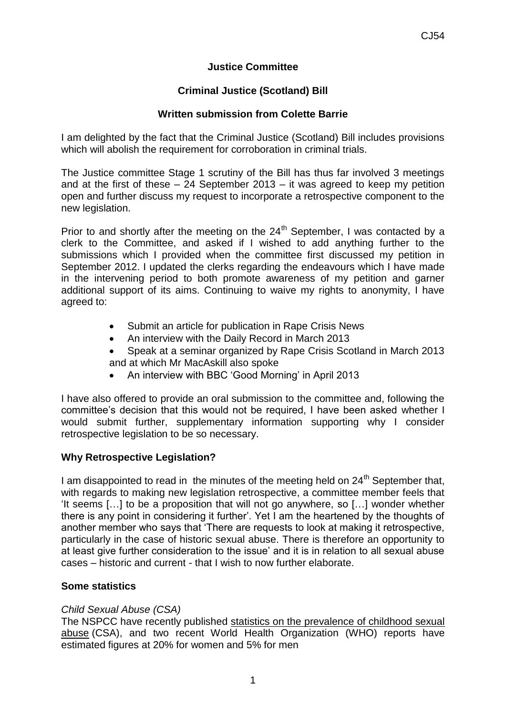## **Justice Committee**

# **Criminal Justice (Scotland) Bill**

## **Written submission from Colette Barrie**

I am delighted by the fact that the Criminal Justice (Scotland) Bill includes provisions which will abolish the requirement for corroboration in criminal trials.

The Justice committee Stage 1 scrutiny of the Bill has thus far involved 3 meetings and at the first of these – 24 September 2013 – it was agreed to keep my petition open and further discuss my request to incorporate a retrospective component to the new legislation.

Prior to and shortly after the meeting on the  $24<sup>th</sup>$  September, I was contacted by a clerk to the Committee, and asked if I wished to add anything further to the submissions which I provided when the committee first discussed my petition in September 2012. I updated the clerks regarding the endeavours which I have made in the intervening period to both promote awareness of my petition and garner additional support of its aims. Continuing to waive my rights to anonymity, I have agreed to:

- Submit an article for publication in Rape Crisis News
- An interview with the Daily Record in March 2013
- Speak at a seminar organized by Rape Crisis Scotland in March 2013 and at which Mr MacAskill also spoke
- An interview with BBC 'Good Morning' in April 2013

I have also offered to provide an oral submission to the committee and, following the committee's decision that this would not be required, I have been asked whether I would submit further, supplementary information supporting why I consider retrospective legislation to be so necessary.

## **Why Retrospective Legislation?**

I am disappointed to read in the minutes of the meeting held on  $24<sup>th</sup>$  September that, with regards to making new legislation retrospective, a committee member feels that 'It seems […] to be a proposition that will not go anywhere, so […] wonder whether there is any point in considering it further'. Yet I am the heartened by the thoughts of another member who says that 'There are requests to look at making it retrospective, particularly in the case of historic sexual abuse. There is therefore an opportunity to at least give further consideration to the issue' and it is in relation to all sexual abuse cases – historic and current - that I wish to now further elaborate.

## **Some statistics**

## *Child Sexual Abuse (CSA)*

The NSPCC have recently published statistics on the [prevalence](http://www.nspcc.org.uk/Inform/resourcesforprofessionals/sexualabuse/statistics_wda87833.html) of childhood sexual [abuse](http://www.nspcc.org.uk/Inform/resourcesforprofessionals/sexualabuse/statistics_wda87833.html) (CSA), and two recent World Health Organization (WHO) reports have estimated figures at 20% for women and 5% for men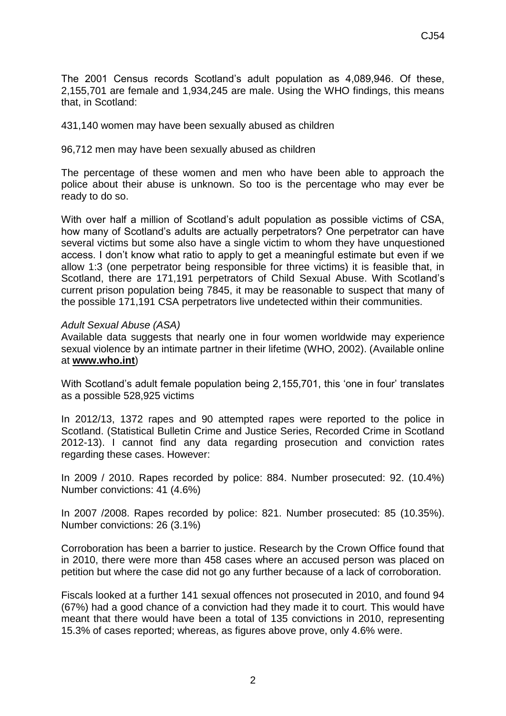The 2001 Census records Scotland's adult population as 4,089,946. Of these, 2,155,701 are female and 1,934,245 are male. Using the WHO findings, this means that, in Scotland:

431,140 women may have been sexually abused as children

96,712 men may have been sexually abused as children

The percentage of these women and men who have been able to approach the police about their abuse is unknown. So too is the percentage who may ever be ready to do so.

With over half a million of Scotland's adult population as possible victims of CSA, how many of Scotland's adults are actually perpetrators? One perpetrator can have several victims but some also have a single victim to whom they have unquestioned access. I don't know what ratio to apply to get a meaningful estimate but even if we allow 1:3 (one perpetrator being responsible for three victims) it is feasible that, in Scotland, there are 171,191 perpetrators of Child Sexual Abuse. With Scotland's current prison population being 7845, it may be reasonable to suspect that many of the possible 171,191 CSA perpetrators live undetected within their communities.

#### *Adult Sexual Abuse (ASA)*

Available data suggests that nearly one in four women worldwide may experience sexual violence by an intimate partner in their lifetime (WHO, 2002). (Available online at **[www.who.int](http://www.who.int/violence_injury_prevention/violence/world_report/factsheets/en/index.html)**)

With Scotland's adult female population being 2,155,701, this 'one in four' translates as a possible 528,925 victims

In 2012/13, 1372 rapes and 90 attempted rapes were reported to the police in Scotland. (Statistical Bulletin Crime and Justice Series, Recorded Crime in Scotland 2012-13). I cannot find any data regarding prosecution and conviction rates regarding these cases. However:

In 2009 / 2010. Rapes recorded by police: 884. Number prosecuted: 92. (10.4%) Number convictions: 41 (4.6%)

In 2007 /2008. Rapes recorded by police: 821. Number prosecuted: 85 (10.35%). Number convictions: 26 (3.1%)

Corroboration has been a barrier to justice. Research by the Crown Office found that in 2010, there were more than 458 cases where an accused person was placed on petition but where the case did not go any further because of a lack of corroboration.

Fiscals looked at a further 141 sexual offences not prosecuted in 2010, and found 94 (67%) had a good chance of a conviction had they made it to court. This would have meant that there would have been a total of 135 convictions in 2010, representing 15.3% of cases reported; whereas, as figures above prove, only 4.6% were.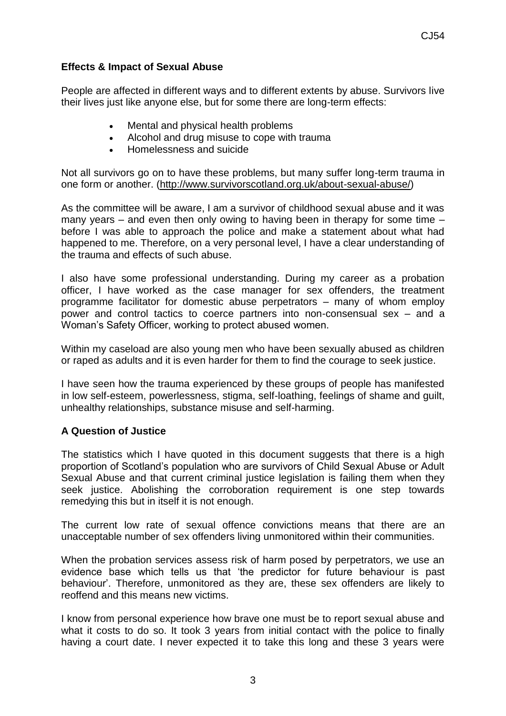## **Effects & Impact of Sexual Abuse**

People are affected in different ways and to different extents by abuse. Survivors live their lives just like anyone else, but for some there are long-term effects:

- Mental and physical health problems
- Alcohol and drug misuse to cope with trauma
- Homelessness and suicide

Not all survivors go on to have these problems, but many suffer long-term trauma in one form or another. [\(http://www.survivorscotland.org.uk/about-sexual-abuse/\)](http://www.survivorscotland.org.uk/about-sexual-abuse/)

As the committee will be aware, I am a survivor of childhood sexual abuse and it was many years – and even then only owing to having been in therapy for some time – before I was able to approach the police and make a statement about what had happened to me. Therefore, on a very personal level, I have a clear understanding of the trauma and effects of such abuse.

I also have some professional understanding. During my career as a probation officer, I have worked as the case manager for sex offenders, the treatment programme facilitator for domestic abuse perpetrators – many of whom employ power and control tactics to coerce partners into non-consensual sex – and a Woman's Safety Officer, working to protect abused women.

Within my caseload are also young men who have been sexually abused as children or raped as adults and it is even harder for them to find the courage to seek justice.

I have seen how the trauma experienced by these groups of people has manifested in low self-esteem, powerlessness, stigma, self-loathing, feelings of shame and guilt, unhealthy relationships, substance misuse and self-harming.

## **A Question of Justice**

The statistics which I have quoted in this document suggests that there is a high proportion of Scotland's population who are survivors of Child Sexual Abuse or Adult Sexual Abuse and that current criminal justice legislation is failing them when they seek justice. Abolishing the corroboration requirement is one step towards remedying this but in itself it is not enough.

The current low rate of sexual offence convictions means that there are an unacceptable number of sex offenders living unmonitored within their communities.

When the probation services assess risk of harm posed by perpetrators, we use an evidence base which tells us that 'the predictor for future behaviour is past behaviour'. Therefore, unmonitored as they are, these sex offenders are likely to reoffend and this means new victims.

I know from personal experience how brave one must be to report sexual abuse and what it costs to do so. It took 3 years from initial contact with the police to finally having a court date. I never expected it to take this long and these 3 years were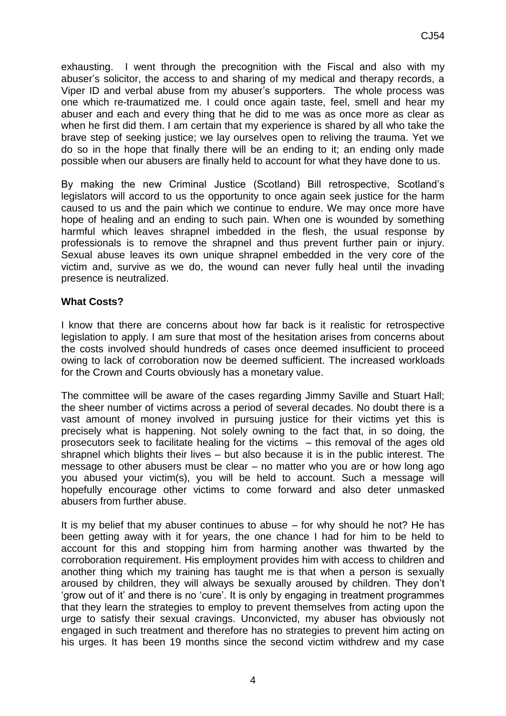exhausting. I went through the precognition with the Fiscal and also with my abuser's solicitor, the access to and sharing of my medical and therapy records, a Viper ID and verbal abuse from my abuser's supporters. The whole process was one which re-traumatized me. I could once again taste, feel, smell and hear my abuser and each and every thing that he did to me was as once more as clear as when he first did them. I am certain that my experience is shared by all who take the brave step of seeking justice; we lay ourselves open to reliving the trauma. Yet we do so in the hope that finally there will be an ending to it; an ending only made possible when our abusers are finally held to account for what they have done to us.

By making the new Criminal Justice (Scotland) Bill retrospective, Scotland's legislators will accord to us the opportunity to once again seek justice for the harm caused to us and the pain which we continue to endure. We may once more have hope of healing and an ending to such pain. When one is wounded by something harmful which leaves shrapnel imbedded in the flesh, the usual response by professionals is to remove the shrapnel and thus prevent further pain or injury. Sexual abuse leaves its own unique shrapnel embedded in the very core of the victim and, survive as we do, the wound can never fully heal until the invading presence is neutralized.

#### **What Costs?**

I know that there are concerns about how far back is it realistic for retrospective legislation to apply. I am sure that most of the hesitation arises from concerns about the costs involved should hundreds of cases once deemed insufficient to proceed owing to lack of corroboration now be deemed sufficient. The increased workloads for the Crown and Courts obviously has a monetary value.

The committee will be aware of the cases regarding Jimmy Saville and Stuart Hall; the sheer number of victims across a period of several decades. No doubt there is a vast amount of money involved in pursuing justice for their victims yet this is precisely what is happening. Not solely owning to the fact that, in so doing, the prosecutors seek to facilitate healing for the victims – this removal of the ages old shrapnel which blights their lives – but also because it is in the public interest. The message to other abusers must be clear – no matter who you are or how long ago you abused your victim(s), you will be held to account. Such a message will hopefully encourage other victims to come forward and also deter unmasked abusers from further abuse.

It is my belief that my abuser continues to abuse – for why should he not? He has been getting away with it for years, the one chance I had for him to be held to account for this and stopping him from harming another was thwarted by the corroboration requirement. His employment provides him with access to children and another thing which my training has taught me is that when a person is sexually aroused by children, they will always be sexually aroused by children. They don't 'grow out of it' and there is no 'cure'. It is only by engaging in treatment programmes that they learn the strategies to employ to prevent themselves from acting upon the urge to satisfy their sexual cravings. Unconvicted, my abuser has obviously not engaged in such treatment and therefore has no strategies to prevent him acting on his urges. It has been 19 months since the second victim withdrew and my case